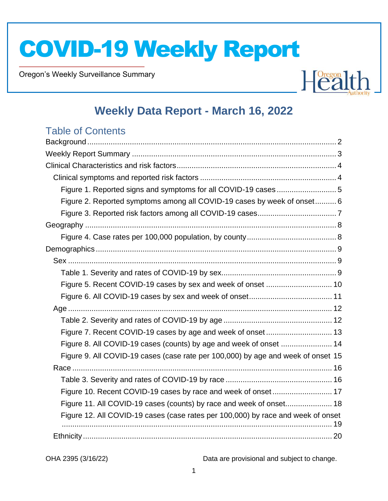Oregon's Weekly Surveillance Summary

Novel Coronavirus (COVID-19)



## **Weekly Data Report - March 16, 2022**

## Table of Contents

| Figure 1. Reported signs and symptoms for all COVID-19 cases 5                   |  |
|----------------------------------------------------------------------------------|--|
| Figure 2. Reported symptoms among all COVID-19 cases by week of onset 6          |  |
|                                                                                  |  |
|                                                                                  |  |
|                                                                                  |  |
|                                                                                  |  |
|                                                                                  |  |
|                                                                                  |  |
|                                                                                  |  |
|                                                                                  |  |
|                                                                                  |  |
|                                                                                  |  |
|                                                                                  |  |
| Figure 8. All COVID-19 cases (counts) by age and week of onset  14               |  |
| Figure 9. All COVID-19 cases (case rate per 100,000) by age and week of onset 15 |  |
|                                                                                  |  |
|                                                                                  |  |
| Figure 10. Recent COVID-19 cases by race and week of onset 17                    |  |
| Figure 11. All COVID-19 cases (counts) by race and week of onset 18              |  |
| Figure 12. All COVID-19 cases (case rates per 100,000) by race and week of onset |  |
|                                                                                  |  |
|                                                                                  |  |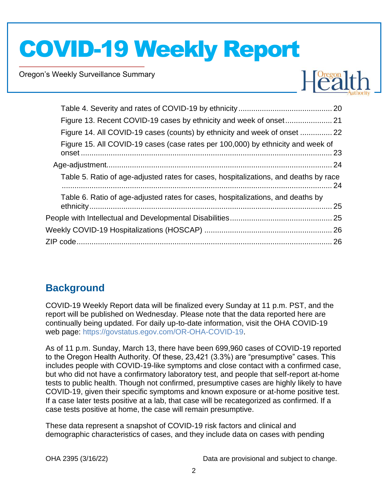Oregon's Weekly Surveillance Summary

Novel Coronavirus (COVID-19)



| Figure 14. All COVID-19 cases (counts) by ethnicity and week of onset  22            |  |
|--------------------------------------------------------------------------------------|--|
| Figure 15. All COVID-19 cases (case rates per 100,000) by ethnicity and week of      |  |
|                                                                                      |  |
| Table 5. Ratio of age-adjusted rates for cases, hospitalizations, and deaths by race |  |
| Table 6. Ratio of age-adjusted rates for cases, hospitalizations, and deaths by      |  |
|                                                                                      |  |
|                                                                                      |  |
|                                                                                      |  |
|                                                                                      |  |

## <span id="page-1-0"></span>**Background**

COVID-19 Weekly Report data will be finalized every Sunday at 11 p.m. PST, and the report will be published on Wednesday. Please note that the data reported here are continually being updated. For daily up-to-date information, visit the OHA COVID-19 web page: [https://govstatus.egov.com/OR-OHA-COVID-19.](https://govstatus.egov.com/OR-OHA-COVID-19)

As of 11 p.m. Sunday, March 13, there have been 699,960 cases of COVID-19 reported to the Oregon Health Authority. Of these, 23,421 (3.3%) are "presumptive" cases. This includes people with COVID-19-like symptoms and close contact with a confirmed case, but who did not have a confirmatory laboratory test, and people that self-report at-home tests to public health. Though not confirmed, presumptive cases are highly likely to have COVID-19, given their specific symptoms and known exposure or at-home positive test. If a case later tests positive at a lab, that case will be recategorized as confirmed. If a case tests positive at home, the case will remain presumptive.

These data represent a snapshot of COVID-19 risk factors and clinical and demographic characteristics of cases, and they include data on cases with pending

| OHA 2395 (3/16/22) |  |
|--------------------|--|
|--------------------|--|

Data are provisional and subject to change.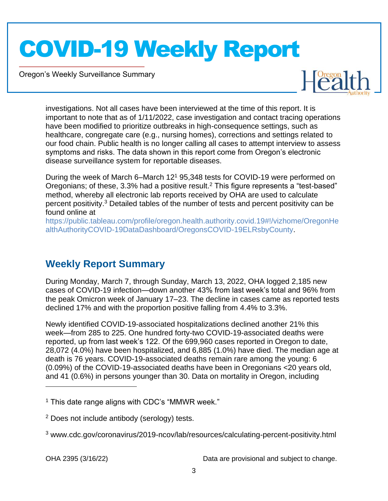Oregon's Weekly Surveillance Summary

Novel Coronavirus (COVID-19)



investigations. Not all cases have been interviewed at the time of this report. It is important to note that as of 1/11/2022, case investigation and contact tracing operations have been modified to prioritize outbreaks in high-consequence settings, such as healthcare, congregate care (e.g., nursing homes), corrections and settings related to our food chain. Public health is no longer calling all cases to attempt interview to assess symptoms and risks. The data shown in this report come from Oregon's electronic disease surveillance system for reportable diseases.

During the week of March 6–March 12<sup>1</sup> 95,348 tests for COVID-19 were performed on Oregonians; of these, 3.3% had a positive result.<sup>2</sup> This figure represents a "test-based" method, whereby all electronic lab reports received by OHA are used to calculate percent positivity.<sup>3</sup> Detailed tables of the number of tests and percent positivity can be found online at

[https://public.tableau.com/profile/oregon.health.authority.covid.19#!/vizhome/OregonHe](https://public.tableau.com/profile/oregon.health.authority.covid.19#!/vizhome/OregonHealthAuthorityCOVID-19DataDashboard/OregonsCOVID-19ELRsbyCounty) [althAuthorityCOVID-19DataDashboard/OregonsCOVID-19ELRsbyCounty.](https://public.tableau.com/profile/oregon.health.authority.covid.19#!/vizhome/OregonHealthAuthorityCOVID-19DataDashboard/OregonsCOVID-19ELRsbyCounty)

### <span id="page-2-0"></span>**Weekly Report Summary**

During Monday, March 7, through Sunday, March 13, 2022, OHA logged 2,185 new cases of COVID-19 infection—down another 43% from last week's total and 96% from the peak Omicron week of January 17–23. The decline in cases came as reported tests declined 17% and with the proportion positive falling from 4.4% to 3.3%.

Newly identified COVID-19-associated hospitalizations declined another 21% this week—from 285 to 225. One hundred forty-two COVID-19-associated deaths were reported, up from last week's 122. Of the 699,960 cases reported in Oregon to date, 28,072 (4.0%) have been hospitalized, and 6,885 (1.0%) have died. The median age at death is 76 years. COVID-19-associated deaths remain rare among the young: 6 (0.09%) of the COVID-19-associated deaths have been in Oregonians <20 years old, and 41 (0.6%) in persons younger than 30. Data on mortality in Oregon, including

 $<sup>1</sup>$  This date range aligns with CDC's "MMWR week."</sup>

<sup>2</sup> Does not include antibody (serology) tests.

<sup>3</sup> www.cdc.gov/coronavirus/2019-ncov/lab/resources/calculating-percent-positivity.html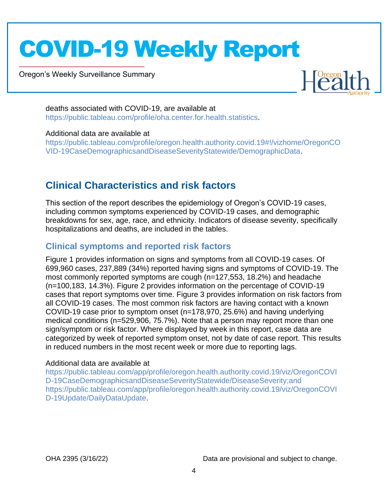Oregon's Weekly Surveillance Summary

Novel Coronavirus (COVID-19)



deaths associated with COVID-19, are available at [https://public.tableau.com/profile/oha.center.for.health.statistics.](https://public.tableau.com/profile/oha.center.for.health.statistics)

#### Additional data are available at

[https://public.tableau.com/profile/oregon.health.authority.covid.19#!/vizhome/OregonCO](https://public.tableau.com/profile/oregon.health.authority.covid.19#!/vizhome/OregonCOVID-19CaseDemographicsandDiseaseSeverityStatewide/DemographicData) [VID-19CaseDemographicsandDiseaseSeverityStatewide/DemographicData.](https://public.tableau.com/profile/oregon.health.authority.covid.19#!/vizhome/OregonCOVID-19CaseDemographicsandDiseaseSeverityStatewide/DemographicData)

## <span id="page-3-0"></span>**Clinical Characteristics and risk factors**

This section of the report describes the epidemiology of Oregon's COVID-19 cases, including common symptoms experienced by COVID-19 cases, and demographic breakdowns for sex, age, race, and ethnicity. Indicators of disease severity, specifically hospitalizations and deaths, are included in the tables.

### <span id="page-3-1"></span>**Clinical symptoms and reported risk factors**

Figure 1 provides information on signs and symptoms from all COVID-19 cases. Of 699,960 cases, 237,889 (34%) reported having signs and symptoms of COVID-19. The most commonly reported symptoms are cough (n=127,553, 18.2%) and headache (n=100,183, 14.3%). Figure 2 provides information on the percentage of COVID-19 cases that report symptoms over time. Figure 3 provides information on risk factors from all COVID-19 cases. The most common risk factors are having contact with a known COVID-19 case prior to symptom onset (n=178,970, 25.6%) and having underlying medical conditions (n=529,906, 75.7%). Note that a person may report more than one sign/symptom or risk factor. Where displayed by week in this report, case data are categorized by week of reported symptom onset, not by date of case report. This results in reduced numbers in the most recent week or more due to reporting lags.

### Additional data are available at

[https://public.tableau.com/app/profile/oregon.health.authority.covid.19/viz/OregonCOVI](https://public.tableau.com/app/profile/oregon.health.authority.covid.19/viz/OregonCOVID-19CaseDemographicsandDiseaseSeverityStatewide/DiseaseSeverity;and) [D-19CaseDemographicsandDiseaseSeverityStatewide/DiseaseSeverity;and](https://public.tableau.com/app/profile/oregon.health.authority.covid.19/viz/OregonCOVID-19CaseDemographicsandDiseaseSeverityStatewide/DiseaseSeverity;and) [https://public.tableau.com/app/profile/oregon.health.authority.covid.19/viz/OregonCOVI](https://public.tableau.com/app/profile/oregon.health.authority.covid.19/viz/OregonCOVID-19Update/DailyDataUpdate) [D-19Update/DailyDataUpdate.](https://public.tableau.com/app/profile/oregon.health.authority.covid.19/viz/OregonCOVID-19Update/DailyDataUpdate)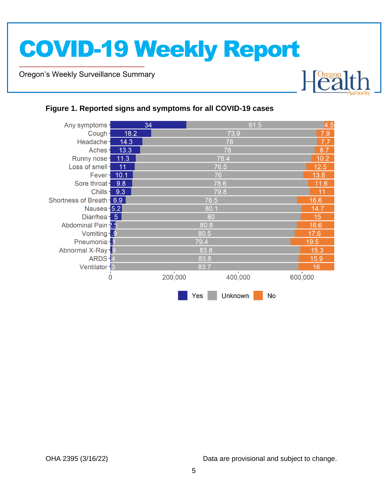Oregon's Weekly Surveillance Summary

Novel Coronavirus (COVID-19)



### <span id="page-4-0"></span>**Figure 1. Reported signs and symptoms for all COVID-19 cases**

| Any symptoms-             |      | 34            |      | 61.5    |                | 4.5           |
|---------------------------|------|---------------|------|---------|----------------|---------------|
| Cough-                    | 18.2 |               |      | 73.9    |                | 7.9           |
| Headache-                 | 14.3 |               |      | 78      |                | 7.7           |
| Aches-                    | 13.3 |               | 78   |         |                |               |
| Runny nose-               | 11.3 |               |      | 78.4    |                | 10.2          |
| Loss of smell-            | 11   |               |      | 76.5    |                | 12.5          |
| Fever-                    | 10.1 |               | 76   |         |                | 13.8          |
| Sore throat-              | 9.8  |               | 78.6 |         |                | 11.6          |
| Chills-                   | 9.3  |               | 79.8 |         |                | 11            |
| Shortness of Breath - 6.9 |      |               | 76.5 |         |                | 16.6          |
| Nausea - 5.2              |      |               | 80.1 |         |                | 14.7          |
| Diarrhea - 5              |      |               | 80   |         |                | 15            |
| Abdominal Pain -2.5       |      |               | 80.8 |         |                | 16.6          |
| Vomiting - 9              |      |               | 80.5 |         |                | 17.6          |
| Pneumonia - 1             |      |               | 79.4 |         |                | 19.5          |
| Abnormal X-Ray-9          |      |               | 83.8 |         |                | 15.3          |
| ARDS-4                    |      |               | 83.8 |         |                | 15.9          |
| Ventilator - 3            |      |               | 83.7 |         |                | 16            |
| 0                         |      | л.<br>200,000 |      | 400,000 |                | T.<br>600,000 |
|                           |      |               | Yes  | Unknown | N <sub>0</sub> |               |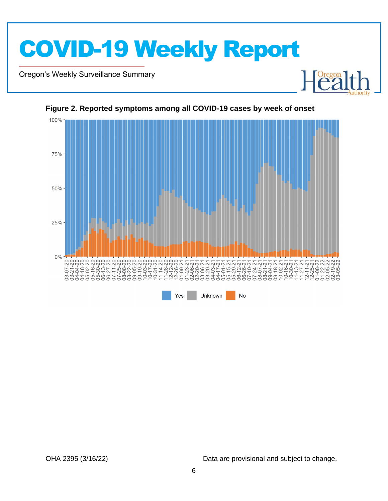

Oregon's Weekly Surveillance Summary

Novel Coronavirus (COVID-19)



#### <span id="page-5-0"></span>**Figure 2. Reported symptoms among all COVID-19 cases by week of onset**

OHA 2395 (3/16/22) Data are provisional and subject to change.

Health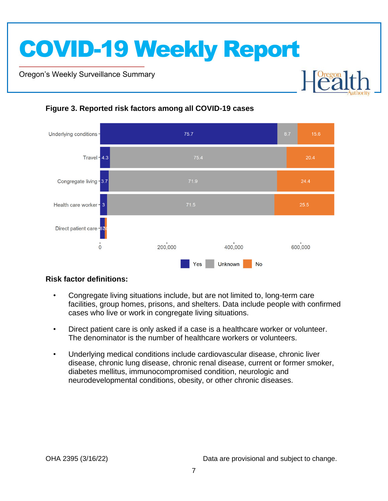Oregon's Weekly Surveillance Summary

Novel Coronavirus (COVID-19)



### <span id="page-6-0"></span>**Figure 3. Reported risk factors among all COVID-19 cases**

### **Risk factor definitions:**

- Congregate living situations include, but are not limited to, long-term care facilities, group homes, prisons, and shelters. Data include people with confirmed cases who live or work in congregate living situations.
- Direct patient care is only asked if a case is a healthcare worker or volunteer. The denominator is the number of healthcare workers or volunteers.
- Underlying medical conditions include cardiovascular disease, chronic liver disease, chronic lung disease, chronic renal disease, current or former smoker, diabetes mellitus, immunocompromised condition, neurologic and neurodevelopmental conditions, obesity, or other chronic diseases.

**Dregon**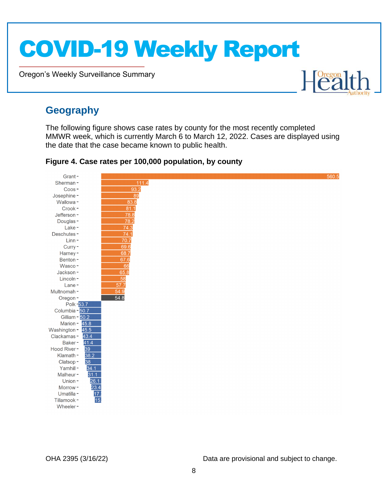Oregon's Weekly Surveillance Summary



### <span id="page-7-0"></span>**Geography**

Novel Coronavirus (COVID-19)

The following figure shows case rates by county for the most recently completed MMWR week, which is currently March 6 to March 12, 2022. Cases are displayed using the date that the case became known to public health.

<span id="page-7-1"></span>**Figure 4. Case rates per 100,000 population, by county**

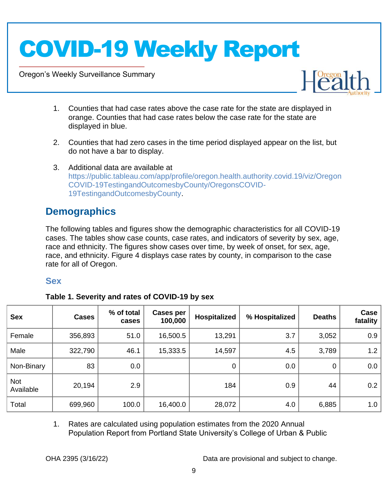Oregon's Weekly Surveillance Summary

Novel Coronavirus (COVID-19)



- 1. Counties that had case rates above the case rate for the state are displayed in orange. Counties that had case rates below the case rate for the state are displayed in blue.
- 2. Counties that had zero cases in the time period displayed appear on the list, but do not have a bar to display.
- 3. Additional data are available at [https://public.tableau.com/app/profile/oregon.health.authority.covid.19/viz/Oregon](https://public.tableau.com/app/profile/oregon.health.authority.covid.19/viz/OregonCOVID-19TestingandOutcomesbyCounty/OregonsCOVID-19TestingandOutcomesbyCounty) [COVID-19TestingandOutcomesbyCounty/OregonsCOVID-](https://public.tableau.com/app/profile/oregon.health.authority.covid.19/viz/OregonCOVID-19TestingandOutcomesbyCounty/OregonsCOVID-19TestingandOutcomesbyCounty)[19TestingandOutcomesbyCounty.](https://public.tableau.com/app/profile/oregon.health.authority.covid.19/viz/OregonCOVID-19TestingandOutcomesbyCounty/OregonsCOVID-19TestingandOutcomesbyCounty)

## <span id="page-8-0"></span>**Demographics**

The following tables and figures show the demographic characteristics for all COVID-19 cases. The tables show case counts, case rates, and indicators of severity by sex, age, race and ethnicity. The figures show cases over time, by week of onset, for sex, age, race, and ethnicity. Figure 4 displays case rates by county, in comparison to the case rate for all of Oregon.

### <span id="page-8-1"></span>**Sex**

<span id="page-8-2"></span>

| Table 1. Severity and rates of COVID-19 by sex |  |
|------------------------------------------------|--|
|                                                |  |

| <b>Sex</b>       | <b>Cases</b> | % of total<br>cases | <b>Cases per</b><br>100,000 | <b>Hospitalized</b> | % Hospitalized | <b>Deaths</b> | Case<br>fatality |
|------------------|--------------|---------------------|-----------------------------|---------------------|----------------|---------------|------------------|
| Female           | 356,893      | 51.0                | 16,500.5                    | 13,291              | 3.7            | 3,052         | 0.9              |
| Male             | 322,790      | 46.1                | 15,333.5                    | 14,597              | 4.5            | 3,789         | 1.2              |
| Non-Binary       | 83           | 0.0                 |                             | 0                   | 0.0            | 0             | 0.0              |
| Not<br>Available | 20,194       | 2.9                 |                             | 184                 | 0.9            | 44            | 0.2              |
| Total            | 699,960      | 100.0               | 16,400.0                    | 28,072              | 4.0            | 6,885         | 1.0              |

1. Rates are calculated using population estimates from the 2020 Annual Population Report from Portland State University's College of Urban & Public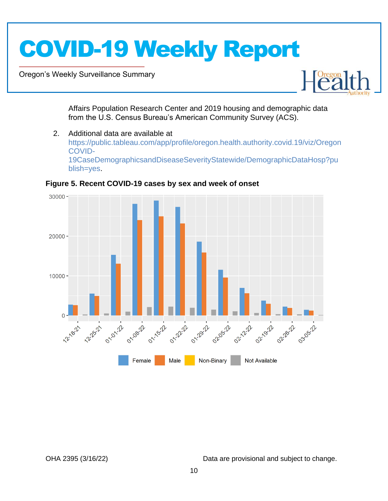Oregon's Weekly Surveillance Summary

Novel Coronavirus (COVID-19)



Affairs Population Research Center and 2019 housing and demographic data from the U.S. Census Bureau's American Community Survey (ACS).

2. Additional data are available at [https://public.tableau.com/app/profile/oregon.health.authority.covid.19/viz/Oregon](https://public.tableau.com/app/profile/oregon.health.authority.covid.19/viz/OregonCOVID-19CaseDemographicsandDiseaseSeverityStatewide/DemographicDataHosp?publish=yes) [COVID-](https://public.tableau.com/app/profile/oregon.health.authority.covid.19/viz/OregonCOVID-19CaseDemographicsandDiseaseSeverityStatewide/DemographicDataHosp?publish=yes)[19CaseDemographicsandDiseaseSeverityStatewide/DemographicDataHosp?pu](https://public.tableau.com/app/profile/oregon.health.authority.covid.19/viz/OregonCOVID-19CaseDemographicsandDiseaseSeverityStatewide/DemographicDataHosp?publish=yes) [blish=yes.](https://public.tableau.com/app/profile/oregon.health.authority.covid.19/viz/OregonCOVID-19CaseDemographicsandDiseaseSeverityStatewide/DemographicDataHosp?publish=yes)



<span id="page-9-0"></span>**Figure 5. Recent COVID-19 cases by sex and week of onset**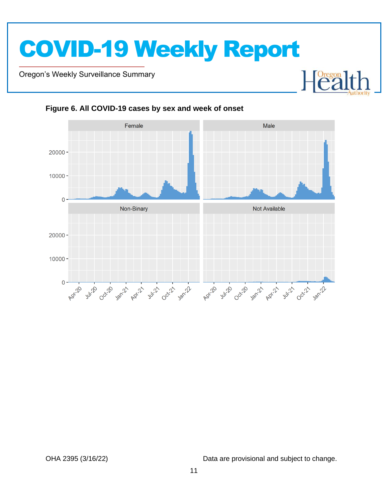Oregon's Weekly Surveillance Summary

Novel Coronavirus (COVID-19)



#### <span id="page-10-0"></span>**Figure 6. All COVID-19 cases by sex and week of onset**

OHA 2395 (3/16/22) Data are provisional and subject to change.

 $\mathbb{R}$ 

Foregon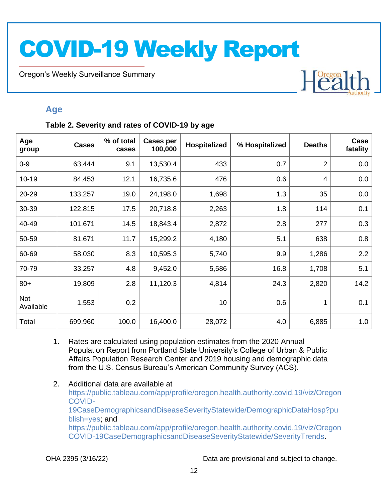Oregon's Weekly Surveillance Summary

Novel Coronavirus (COVID-19)

# Heal

### <span id="page-11-0"></span>**Age**

### <span id="page-11-1"></span>**Table 2. Severity and rates of COVID-19 by age**

| Age<br>group            | <b>Cases</b> | % of total<br>cases | <b>Cases per</b><br>100,000 | <b>Hospitalized</b> | % Hospitalized | <b>Deaths</b>  | Case<br>fatality |
|-------------------------|--------------|---------------------|-----------------------------|---------------------|----------------|----------------|------------------|
| $0 - 9$                 | 63,444       | 9.1                 | 13,530.4                    | 433                 | 0.7            | $\overline{2}$ | 0.0              |
| $10 - 19$               | 84,453       | 12.1                | 16,735.6                    | 476                 | 0.6            | 4              | 0.0              |
| 20-29                   | 133,257      | 19.0                | 24,198.0                    | 1,698               | 1.3            | 35             | 0.0              |
| 30-39                   | 122,815      | 17.5                | 20,718.8                    | 2,263               | 1.8            | 114            | 0.1              |
| 40-49                   | 101,671      | 14.5                | 18,843.4                    | 2,872               | 2.8            | 277            | 0.3              |
| 50-59                   | 81,671       | 11.7                | 15,299.2                    | 4,180               | 5.1            | 638            | 0.8              |
| 60-69                   | 58,030       | 8.3                 | 10,595.3                    | 5,740               | 9.9            | 1,286          | 2.2              |
| 70-79                   | 33,257       | 4.8                 | 9,452.0                     | 5,586               | 16.8           | 1,708          | 5.1              |
| $80+$                   | 19,809       | 2.8                 | 11,120.3                    | 4,814               | 24.3           | 2,820          | 14.2             |
| <b>Not</b><br>Available | 1,553        | 0.2                 |                             | 10                  | 0.6            | 1              | 0.1              |
| Total                   | 699,960      | 100.0               | 16,400.0                    | 28,072              | 4.0            | 6,885          | 1.0              |

- 1. Rates are calculated using population estimates from the 2020 Annual Population Report from Portland State University's College of Urban & Public Affairs Population Research Center and 2019 housing and demographic data from the U.S. Census Bureau's American Community Survey (ACS).
- 2. Additional data are available at [https://public.tableau.com/app/profile/oregon.health.authority.covid.19/viz/Oregon](https://public.tableau.com/app/profile/oregon.health.authority.covid.19/viz/OregonCOVID-19CaseDemographicsandDiseaseSeverityStatewide/DemographicDataHosp?publish=yes) [COVID-](https://public.tableau.com/app/profile/oregon.health.authority.covid.19/viz/OregonCOVID-19CaseDemographicsandDiseaseSeverityStatewide/DemographicDataHosp?publish=yes)[19CaseDemographicsandDiseaseSeverityStatewide/DemographicDataHosp?pu](https://public.tableau.com/app/profile/oregon.health.authority.covid.19/viz/OregonCOVID-19CaseDemographicsandDiseaseSeverityStatewide/DemographicDataHosp?publish=yes) [blish=yes;](https://public.tableau.com/app/profile/oregon.health.authority.covid.19/viz/OregonCOVID-19CaseDemographicsandDiseaseSeverityStatewide/DemographicDataHosp?publish=yes) and [https://public.tableau.com/app/profile/oregon.health.authority.covid.19/viz/Oregon](https://public.tableau.com/app/profile/oregon.health.authority.covid.19/viz/OregonCOVID-19CaseDemographicsandDiseaseSeverityStatewide/SeverityTrends) [COVID-19CaseDemographicsandDiseaseSeverityStatewide/SeverityTrends.](https://public.tableau.com/app/profile/oregon.health.authority.covid.19/viz/OregonCOVID-19CaseDemographicsandDiseaseSeverityStatewide/SeverityTrends)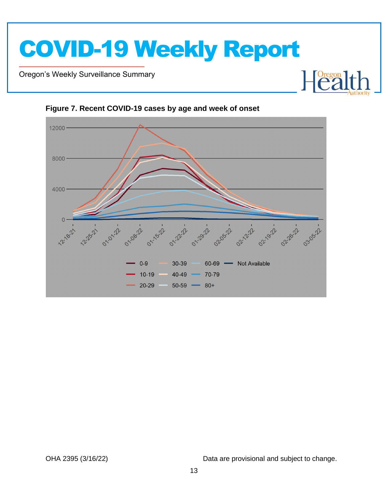Oregon's Weekly Surveillance Summary

Novel Coronavirus (COVID-19)



#### <span id="page-12-0"></span>**Figure 7. Recent COVID-19 cases by age and week of onset**

OHA 2395 (3/16/22) Data are provisional and subject to change.

**Health**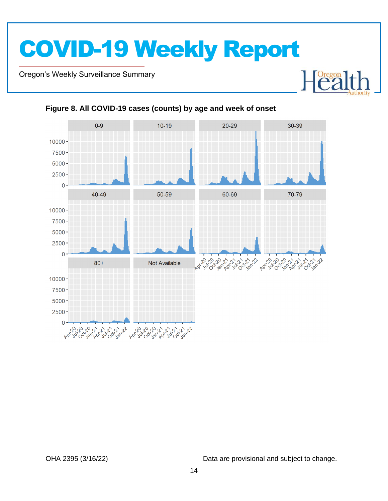Oregon's Weekly Surveillance Summary

Novel Coronavirus (COVID-19)



### <span id="page-13-0"></span>**Figure 8. All COVID-19 cases (counts) by age and week of onset**

OHA 2395 (3/16/22) Data are provisional and subject to change.

Heal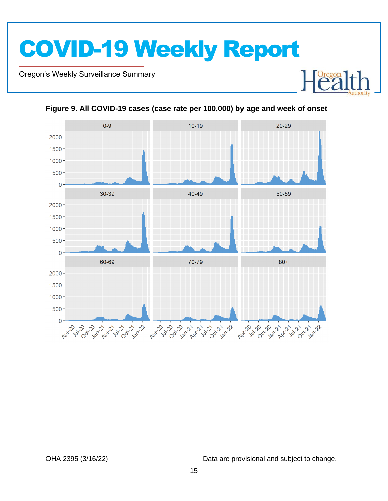Oregon's Weekly Surveillance Summary

Novel Coronavirus (COVID-19)



<span id="page-14-0"></span>

OHA 2395 (3/16/22) Data are provisional and subject to change.

**Heal**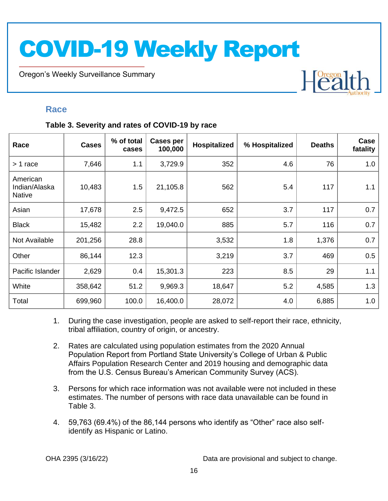Oregon's Weekly Surveillance Summary

## Heal

### <span id="page-15-0"></span>**Race**

Novel Coronavirus (COVID-19)

### <span id="page-15-1"></span>**Table 3. Severity and rates of COVID-19 by race**

| Race                                       | <b>Cases</b> | % of total<br>cases | <b>Cases per</b><br>100,000 | Hospitalized | % Hospitalized | <b>Deaths</b> | Case<br>fatality |
|--------------------------------------------|--------------|---------------------|-----------------------------|--------------|----------------|---------------|------------------|
| > 1 race                                   | 7,646        | 1.1                 | 3,729.9                     | 352          | 4.6            | 76            | 1.0              |
| American<br>Indian/Alaska<br><b>Native</b> | 10,483       | 1.5                 | 21,105.8                    | 562          | 5.4            | 117           | 1.1              |
| Asian                                      | 17,678       | 2.5                 | 9,472.5                     | 652          | 3.7            | 117           | 0.7              |
| <b>Black</b>                               | 15,482       | 2.2                 | 19,040.0                    | 885          | 5.7            | 116           | 0.7              |
| Not Available                              | 201,256      | 28.8                |                             | 3,532        | 1.8            | 1,376         | 0.7              |
| Other                                      | 86,144       | 12.3                |                             | 3,219        | 3.7            | 469           | 0.5              |
| Pacific Islander                           | 2,629        | 0.4                 | 15,301.3                    | 223          | 8.5            | 29            | 1.1              |
| White                                      | 358,642      | 51.2                | 9,969.3                     | 18,647       | 5.2            | 4,585         | 1.3              |
| Total                                      | 699,960      | 100.0               | 16,400.0                    | 28,072       | 4.0            | 6,885         | 1.0              |

- 1. During the case investigation, people are asked to self-report their race, ethnicity, tribal affiliation, country of origin, or ancestry.
- 2. Rates are calculated using population estimates from the 2020 Annual Population Report from Portland State University's College of Urban & Public Affairs Population Research Center and 2019 housing and demographic data from the U.S. Census Bureau's American Community Survey (ACS).
- 3. Persons for which race information was not available were not included in these estimates. The number of persons with race data unavailable can be found in Table 3.
- 4. 59,763 (69.4%) of the 86,144 persons who identify as "Other" race also selfidentify as Hispanic or Latino.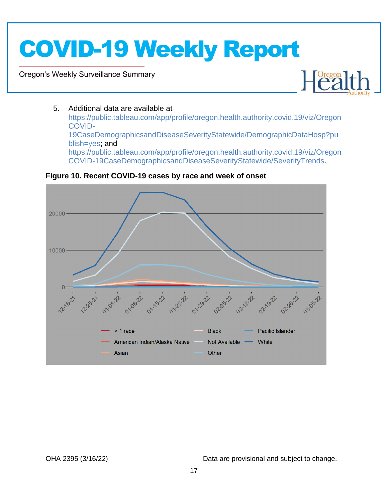Oregon's Weekly Surveillance Summary

Novel Coronavirus (COVID-19)



### 5. Additional data are available at

[https://public.tableau.com/app/profile/oregon.health.authority.covid.19/viz/Oregon](https://public.tableau.com/app/profile/oregon.health.authority.covid.19/viz/OregonCOVID-19CaseDemographicsandDiseaseSeverityStatewide/DemographicDataHosp?publish=yes) [COVID-](https://public.tableau.com/app/profile/oregon.health.authority.covid.19/viz/OregonCOVID-19CaseDemographicsandDiseaseSeverityStatewide/DemographicDataHosp?publish=yes)[19CaseDemographicsandDiseaseSeverityStatewide/DemographicDataHosp?pu](https://public.tableau.com/app/profile/oregon.health.authority.covid.19/viz/OregonCOVID-19CaseDemographicsandDiseaseSeverityStatewide/DemographicDataHosp?publish=yes) [blish=yes;](https://public.tableau.com/app/profile/oregon.health.authority.covid.19/viz/OregonCOVID-19CaseDemographicsandDiseaseSeverityStatewide/DemographicDataHosp?publish=yes) and [https://public.tableau.com/app/profile/oregon.health.authority.covid.19/viz/Oregon](https://public.tableau.com/app/profile/oregon.health.authority.covid.19/viz/OregonCOVID-19CaseDemographicsandDiseaseSeverityStatewide/SeverityTrends) [COVID-19CaseDemographicsandDiseaseSeverityStatewide/SeverityTrends.](https://public.tableau.com/app/profile/oregon.health.authority.covid.19/viz/OregonCOVID-19CaseDemographicsandDiseaseSeverityStatewide/SeverityTrends)



<span id="page-16-0"></span>**Figure 10. Recent COVID-19 cases by race and week of onset**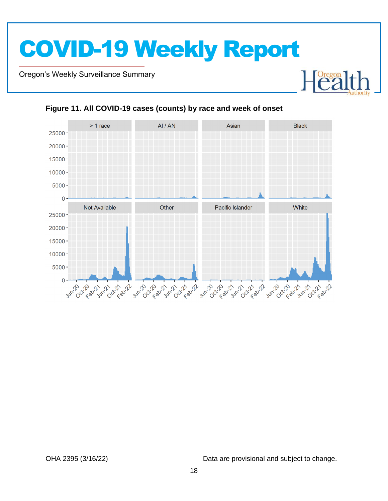Oregon's Weekly Surveillance Summary

Novel Coronavirus (COVID-19)



### <span id="page-17-0"></span>**Figure 11. All COVID-19 cases (counts) by race and week of onset**

OHA 2395 (3/16/22) Data are provisional and subject to change.

Heal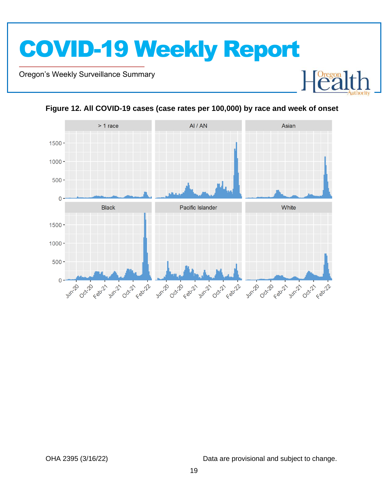Oregon's Weekly Surveillance Summary

Novel Coronavirus (COVID-19)





<span id="page-18-0"></span>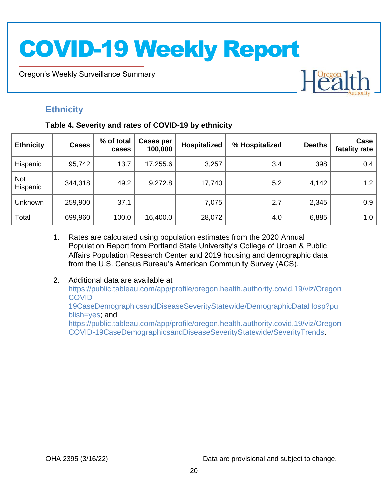Oregon's Weekly Surveillance Summary

### <span id="page-19-0"></span>**Ethnicity**

Novel Coronavirus (COVID-19)

### <span id="page-19-1"></span>**Table 4. Severity and rates of COVID-19 by ethnicity**

| <b>Ethnicity</b>       | <b>Cases</b> | % of total<br>cases | Cases per<br>100,000 | Hospitalized | % Hospitalized | <b>Deaths</b> | Case<br>fatality rate |
|------------------------|--------------|---------------------|----------------------|--------------|----------------|---------------|-----------------------|
| Hispanic               | 95,742       | 13.7                | 17,255.6             | 3,257        | 3.4            | 398           | 0.4                   |
| <b>Not</b><br>Hispanic | 344,318      | 49.2                | 9,272.8              | 17,740       | 5.2            | 4,142         | 1.2                   |
| Unknown                | 259,900      | 37.1                |                      | 7,075        | 2.7            | 2,345         | 0.9                   |
| Total                  | 699,960      | 100.0               | 16,400.0             | 28,072       | 4.0            | 6,885         | 1.0                   |

- 1. Rates are calculated using population estimates from the 2020 Annual Population Report from Portland State University's College of Urban & Public Affairs Population Research Center and 2019 housing and demographic data from the U.S. Census Bureau's American Community Survey (ACS).
- 2. Additional data are available at [https://public.tableau.com/app/profile/oregon.health.authority.covid.19/viz/Oregon](https://public.tableau.com/app/profile/oregon.health.authority.covid.19/viz/OregonCOVID-19CaseDemographicsandDiseaseSeverityStatewide/DemographicDataHosp?publish=yes) [COVID-](https://public.tableau.com/app/profile/oregon.health.authority.covid.19/viz/OregonCOVID-19CaseDemographicsandDiseaseSeverityStatewide/DemographicDataHosp?publish=yes)[19CaseDemographicsandDiseaseSeverityStatewide/DemographicDataHosp?pu](https://public.tableau.com/app/profile/oregon.health.authority.covid.19/viz/OregonCOVID-19CaseDemographicsandDiseaseSeverityStatewide/DemographicDataHosp?publish=yes) [blish=yes;](https://public.tableau.com/app/profile/oregon.health.authority.covid.19/viz/OregonCOVID-19CaseDemographicsandDiseaseSeverityStatewide/DemographicDataHosp?publish=yes) and [https://public.tableau.com/app/profile/oregon.health.authority.covid.19/viz/Oregon](https://public.tableau.com/app/profile/oregon.health.authority.covid.19/viz/OregonCOVID-19CaseDemographicsandDiseaseSeverityStatewide/SeverityTrends) [COVID-19CaseDemographicsandDiseaseSeverityStatewide/SeverityTrends.](https://public.tableau.com/app/profile/oregon.health.authority.covid.19/viz/OregonCOVID-19CaseDemographicsandDiseaseSeverityStatewide/SeverityTrends)

OHA 2395 (3/16/22) Data are provisional and subject to change.

Heal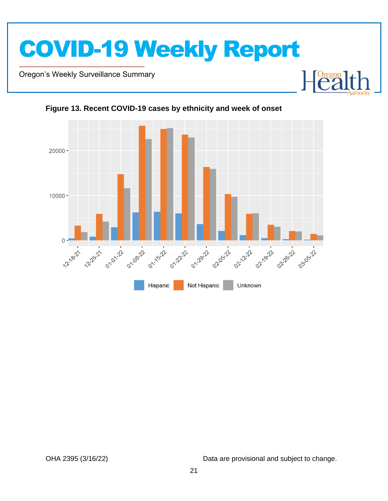

Oregon's Weekly Surveillance Summary

Novel Coronavirus (COVID-19)





### <span id="page-20-0"></span>**Figure 13. Recent COVID-19 cases by ethnicity and week of onset**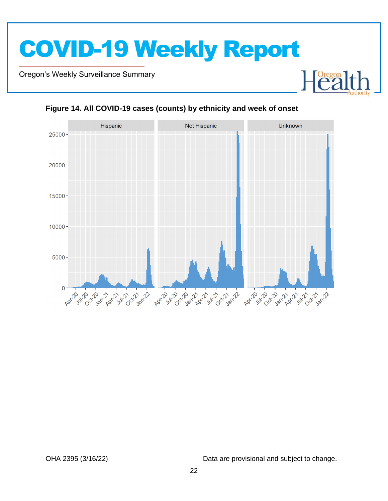Oregon's Weekly Surveillance Summary

Novel Coronavirus (COVID-19)



### <span id="page-21-0"></span>**Figure 14. All COVID-19 cases (counts) by ethnicity and week of onset**

OHA 2395 (3/16/22) Data are provisional and subject to change.

Foregon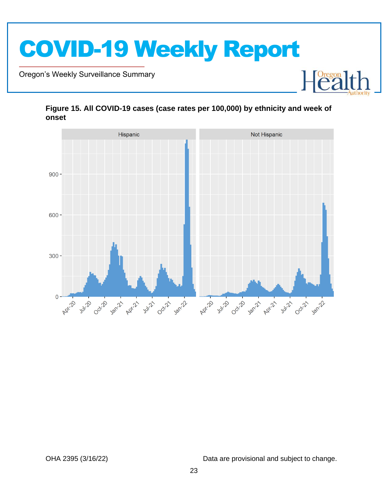

Oregon's Weekly Surveillance Summary

Novel Coronavirus (COVID-19)



### <span id="page-22-0"></span>**Figure 15. All COVID-19 cases (case rates per 100,000) by ethnicity and week of onset**

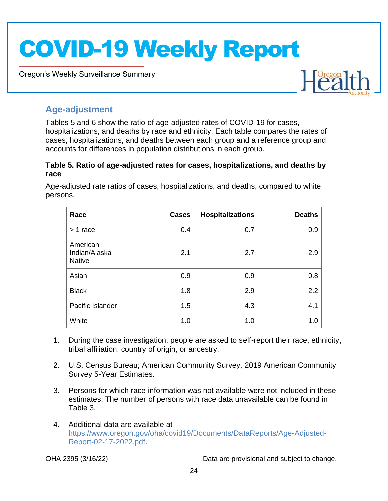Oregon's Weekly Surveillance Summary



### <span id="page-23-0"></span>**Age-adjustment**

Novel Coronavirus (COVID-19)

Tables 5 and 6 show the ratio of age-adjusted rates of COVID-19 for cases, hospitalizations, and deaths by race and ethnicity. Each table compares the rates of cases, hospitalizations, and deaths between each group and a reference group and accounts for differences in population distributions in each group.

### <span id="page-23-1"></span>**Table 5. Ratio of age-adjusted rates for cases, hospitalizations, and deaths by race**

Age-adjusted rate ratios of cases, hospitalizations, and deaths, compared to white persons.

| Race                                       | <b>Cases</b> | <b>Hospitalizations</b> | <b>Deaths</b> |
|--------------------------------------------|--------------|-------------------------|---------------|
| $> 1$ race                                 | 0.4          | 0.7                     | 0.9           |
| American<br>Indian/Alaska<br><b>Native</b> | 2.1          | 2.7                     | 2.9           |
| Asian                                      | 0.9          | 0.9                     | 0.8           |
| <b>Black</b>                               | 1.8          | 2.9                     | 2.2           |
| Pacific Islander                           | 1.5          | 4.3                     | 4.1           |
| White                                      | 1.0          | 1.0                     | 1.0           |

- 1. During the case investigation, people are asked to self-report their race, ethnicity, tribal affiliation, country of origin, or ancestry.
- 2. U.S. Census Bureau; American Community Survey, 2019 American Community Survey 5-Year Estimates.
- 3. Persons for which race information was not available were not included in these estimates. The number of persons with race data unavailable can be found in Table 3.
- 4. Additional data are available at [https://www.oregon.gov/oha/covid19/Documents/DataReports/Age-Adjusted-](https://www.oregon.gov/oha/covid19/Documents/DataReports/Age-Adjusted-Report-02-17-2022.pdf)[Report-02-17-2022.pdf.](https://www.oregon.gov/oha/covid19/Documents/DataReports/Age-Adjusted-Report-02-17-2022.pdf)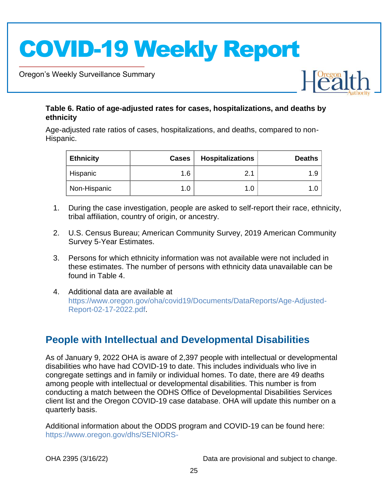Oregon's Weekly Surveillance Summary

Novel Coronavirus (COVID-19)



### <span id="page-24-0"></span>**Table 6. Ratio of age-adjusted rates for cases, hospitalizations, and deaths by ethnicity**

Age-adjusted rate ratios of cases, hospitalizations, and deaths, compared to non-Hispanic.

| <b>Ethnicity</b> | <b>Cases</b> | <b>Hospitalizations</b> | <b>Deaths</b> |
|------------------|--------------|-------------------------|---------------|
| Hispanic         | 1.6          | и                       | 1.9           |
| Non-Hispanic     | 1.0          | 1.0                     |               |

- 1. During the case investigation, people are asked to self-report their race, ethnicity, tribal affiliation, country of origin, or ancestry.
- 2. U.S. Census Bureau; American Community Survey, 2019 American Community Survey 5-Year Estimates.
- 3. Persons for which ethnicity information was not available were not included in these estimates. The number of persons with ethnicity data unavailable can be found in Table 4.
- 4. Additional data are available at [https://www.oregon.gov/oha/covid19/Documents/DataReports/Age-Adjusted-](https://www.oregon.gov/oha/covid19/Documents/DataReports/Age-Adjusted-Report-02-17-2022.pdf)[Report-02-17-2022.pdf.](https://www.oregon.gov/oha/covid19/Documents/DataReports/Age-Adjusted-Report-02-17-2022.pdf)

### <span id="page-24-1"></span>**People with Intellectual and Developmental Disabilities**

As of January 9, 2022 OHA is aware of 2,397 people with intellectual or developmental disabilities who have had COVID-19 to date. This includes individuals who live in congregate settings and in family or individual homes. To date, there are 49 deaths among people with intellectual or developmental disabilities. This number is from conducting a match between the ODHS Office of Developmental Disabilities Services client list and the Oregon COVID-19 case database. OHA will update this number on a quarterly basis.

Additional information about the ODDS program and COVID-19 can be found here: [https://www.oregon.gov/dhs/SENIORS-](https://www.oregon.gov/dhs/SENIORS-DISABILITIES/DD/ODDS%20Resource%20Library/ODDS-Residential-COVID-19-Report.pdf)